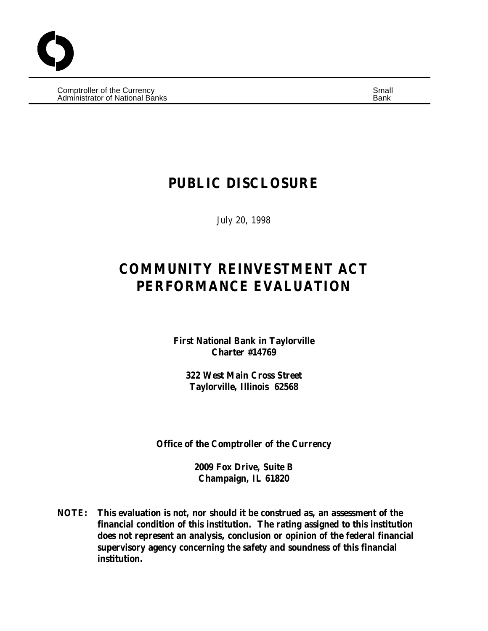Comptroller of the Currency Small and Comptete and Comptete and Small and Small and Small and Small and Small Administrator of National Banks Banks Banks Banks Bank Banks Banks Banks Banks Banks Banks Banks Banks Banks B

## **PUBLIC DISCLOSURE**

July 20, 1998

# **COMMUNITY REINVESTMENT ACT PERFORMANCE EVALUATION**

**First National Bank in Taylorville Charter #14769**

**322 West Main Cross Street Taylorville, Illinois 62568**

**Office of the Comptroller of the Currency**

**2009 Fox Drive, Suite B Champaign, IL 61820**

**NOTE: This evaluation is not, nor should it be construed as, an assessment of the financial condition of this institution. The rating assigned to this institution does not represent an analysis, conclusion or opinion of the federal financial supervisory agency concerning the safety and soundness of this financial institution.**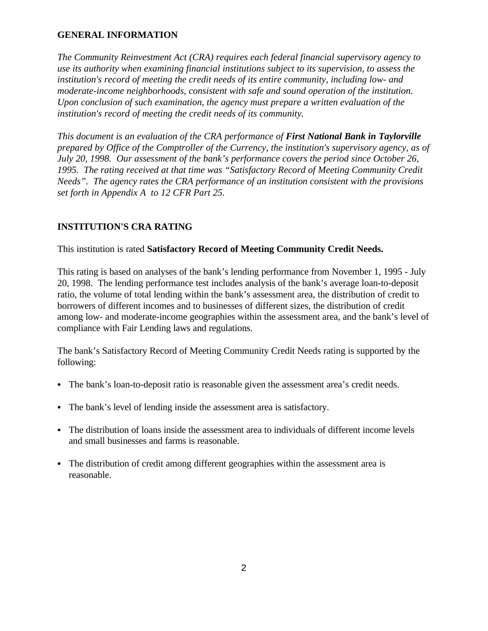#### **GENERAL INFORMATION**

*The Community Reinvestment Act (CRA) requires each federal financial supervisory agency to use its authority when examining financial institutions subject to its supervision, to assess the institution's record of meeting the credit needs of its entire community, including low- and moderate-income neighborhoods, consistent with safe and sound operation of the institution. Upon conclusion of such examination, the agency must prepare a written evaluation of the institution's record of meeting the credit needs of its community.*

*This document is an evaluation of the CRA performance of First National Bank in Taylorville prepared by Office of the Comptroller of the Currency, the institution's supervisory agency, as of July 20, 1998. Our assessment of the bank's performance covers the period since October 26, 1995. The rating received at that time was "Satisfactory Record of Meeting Community Credit Needs". The agency rates the CRA performance of an institution consistent with the provisions set forth in Appendix A to 12 CFR Part 25.*

## **INSTITUTION'S CRA RATING**

#### This institution is rated **Satisfactory Record of Meeting Community Credit Needs.**

This rating is based on analyses of the bank's lending performance from November 1, 1995 - July 20, 1998. The lending performance test includes analysis of the bank's average loan-to-deposit ratio, the volume of total lending within the bank's assessment area, the distribution of credit to borrowers of different incomes and to businesses of different sizes, the distribution of credit among low- and moderate-income geographies within the assessment area, and the bank's level of compliance with Fair Lending laws and regulations.

The bank's Satisfactory Record of Meeting Community Credit Needs rating is supported by the following:

- The bank's loan-to-deposit ratio is reasonable given the assessment area's credit needs.
- The bank's level of lending inside the assessment area is satisfactory.
- The distribution of loans inside the assessment area to individuals of different income levels and small businesses and farms is reasonable.
- The distribution of credit among different geographies within the assessment area is reasonable.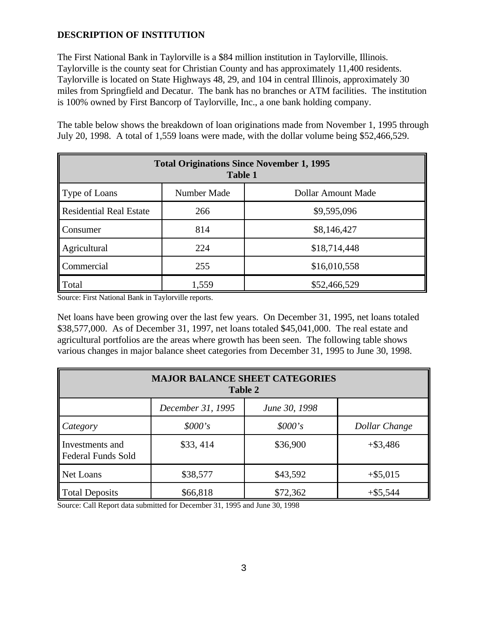## **DESCRIPTION OF INSTITUTION**

The First National Bank in Taylorville is a \$84 million institution in Taylorville, Illinois. Taylorville is the county seat for Christian County and has approximately 11,400 residents. Taylorville is located on State Highways 48, 29, and 104 in central Illinois, approximately 30 miles from Springfield and Decatur. The bank has no branches or ATM facilities. The institution is 100% owned by First Bancorp of Taylorville, Inc., a one bank holding company.

The table below shows the breakdown of loan originations made from November 1, 1995 through July 20, 1998. A total of 1,559 loans were made, with the dollar volume being \$52,466,529.

| <b>Total Originations Since November 1, 1995</b><br><b>Table 1</b> |             |                    |  |  |  |
|--------------------------------------------------------------------|-------------|--------------------|--|--|--|
| Type of Loans                                                      | Number Made | Dollar Amount Made |  |  |  |
| Residential Real Estate                                            | 266         | \$9,595,096        |  |  |  |
| Consumer                                                           | 814         | \$8,146,427        |  |  |  |
| Agricultural                                                       | 224         | \$18,714,448       |  |  |  |
| Commercial                                                         | 255         | \$16,010,558       |  |  |  |
| Total                                                              | 1,559       | \$52,466,529       |  |  |  |

Source: First National Bank in Taylorville reports.

Net loans have been growing over the last few years. On December 31, 1995, net loans totaled \$38,577,000. As of December 31, 1997, net loans totaled \$45,041,000. The real estate and agricultural portfolios are the areas where growth has been seen. The following table shows various changes in major balance sheet categories from December 31, 1995 to June 30, 1998.

| <b>MAJOR BALANCE SHEET CATEGORIES</b><br><b>Table 2</b> |                   |               |               |  |  |
|---------------------------------------------------------|-------------------|---------------|---------------|--|--|
|                                                         | December 31, 1995 | June 30, 1998 |               |  |  |
| Category                                                | \$000's           | \$000's       | Dollar Change |  |  |
| Investments and<br><b>Federal Funds Sold</b>            | \$33,414          | \$36,900      | $+$ \$3,486   |  |  |
| Net Loans                                               | \$38,577          | \$43,592      | $+$ \$5,015   |  |  |
| <b>Total Deposits</b>                                   | \$66,818          | \$72,362      | $+$ \$5,544   |  |  |

Source: Call Report data submitted for December 31, 1995 and June 30, 1998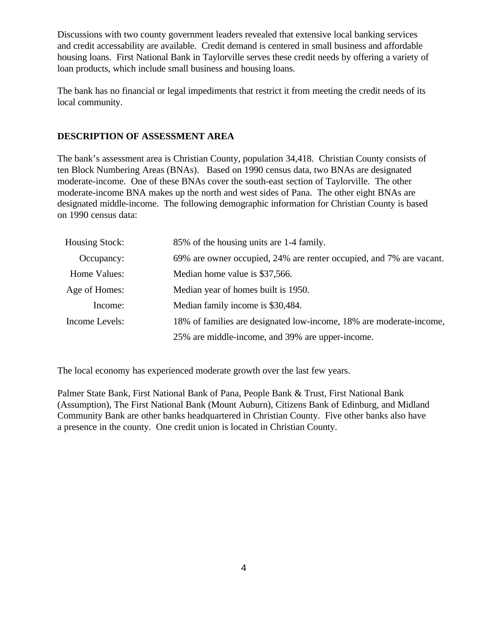Discussions with two county government leaders revealed that extensive local banking services and credit accessability are available. Credit demand is centered in small business and affordable housing loans. First National Bank in Taylorville serves these credit needs by offering a variety of loan products, which include small business and housing loans.

The bank has no financial or legal impediments that restrict it from meeting the credit needs of its local community.

#### **DESCRIPTION OF ASSESSMENT AREA**

The bank's assessment area is Christian County, population 34,418. Christian County consists of ten Block Numbering Areas (BNAs). Based on 1990 census data, two BNAs are designated moderate-income. One of these BNAs cover the south-east section of Taylorville. The other moderate-income BNA makes up the north and west sides of Pana. The other eight BNAs are designated middle-income. The following demographic information for Christian County is based on 1990 census data:

| Housing Stock: | 85% of the housing units are 1-4 family.                            |
|----------------|---------------------------------------------------------------------|
| Occupancy:     | 69% are owner occupied, 24% are renter occupied, and 7% are vacant. |
| Home Values:   | Median home value is \$37,566.                                      |
| Age of Homes:  | Median year of homes built is 1950.                                 |
| Income:        | Median family income is \$30,484.                                   |
| Income Levels: | 18% of families are designated low-income, 18% are moderate-income, |
|                | 25% are middle-income, and 39% are upper-income.                    |

The local economy has experienced moderate growth over the last few years.

Palmer State Bank, First National Bank of Pana, People Bank & Trust, First National Bank (Assumption), The First National Bank (Mount Auburn), Citizens Bank of Edinburg, and Midland Community Bank are other banks headquartered in Christian County. Five other banks also have a presence in the county. One credit union is located in Christian County.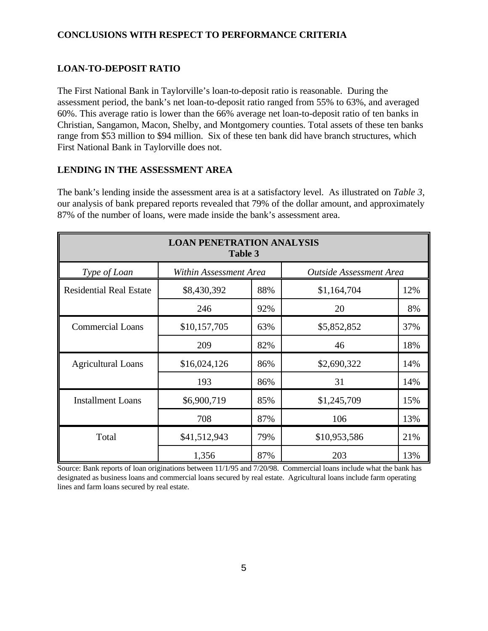## **CONCLUSIONS WITH RESPECT TO PERFORMANCE CRITERIA**

## **LOAN-TO-DEPOSIT RATIO**

The First National Bank in Taylorville's loan-to-deposit ratio is reasonable. During the assessment period, the bank's net loan-to-deposit ratio ranged from 55% to 63%, and averaged 60%. This average ratio is lower than the 66% average net loan-to-deposit ratio of ten banks in Christian, Sangamon, Macon, Shelby, and Montgomery counties. Total assets of these ten banks range from \$53 million to \$94 million. Six of these ten bank did have branch structures, which First National Bank in Taylorville does not.

#### **LENDING IN THE ASSESSMENT AREA**

The bank's lending inside the assessment area is at a satisfactory level. As illustrated on *Table 3*, our analysis of bank prepared reports revealed that 79% of the dollar amount, and approximately 87% of the number of loans, were made inside the bank's assessment area.

| <b>LOAN PENETRATION ANALYSIS</b><br>Table 3 |                                                          |     |              |     |  |  |  |
|---------------------------------------------|----------------------------------------------------------|-----|--------------|-----|--|--|--|
| Type of Loan                                | <b>Outside Assessment Area</b><br>Within Assessment Area |     |              |     |  |  |  |
| <b>Residential Real Estate</b>              | \$8,430,392                                              | 88% | \$1,164,704  | 12% |  |  |  |
|                                             | 246                                                      | 92% | 20           | 8%  |  |  |  |
| <b>Commercial Loans</b>                     | \$10,157,705                                             | 63% | \$5,852,852  | 37% |  |  |  |
|                                             | 209                                                      | 82% | 46           | 18% |  |  |  |
| <b>Agricultural Loans</b>                   | \$16,024,126                                             | 86% | \$2,690,322  | 14% |  |  |  |
|                                             | 193                                                      | 86% | 31           | 14% |  |  |  |
| <b>Installment Loans</b>                    | \$6,900,719                                              | 85% | \$1,245,709  | 15% |  |  |  |
|                                             | 708                                                      | 87% | 106          | 13% |  |  |  |
| Total                                       | \$41,512,943                                             | 79% | \$10,953,586 | 21% |  |  |  |
|                                             | 1,356                                                    | 87% | 203          | 13% |  |  |  |

Source: Bank reports of loan originations between 11/1/95 and 7/20/98. Commercial loans include what the bank has designated as business loans and commercial loans secured by real estate. Agricultural loans include farm operating lines and farm loans secured by real estate.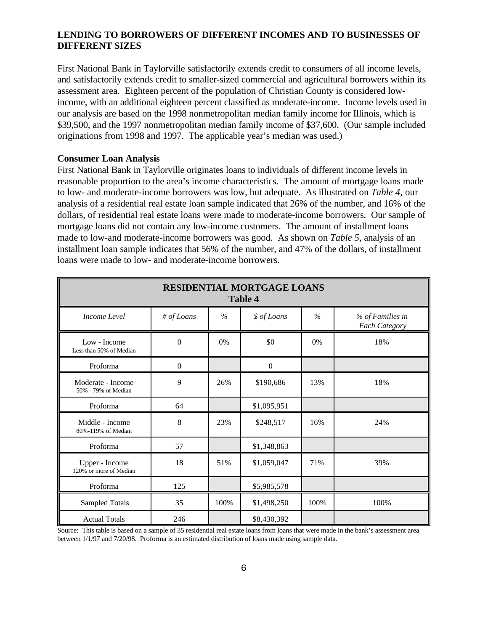#### **LENDING TO BORROWERS OF DIFFERENT INCOMES AND TO BUSINESSES OF DIFFERENT SIZES**

First National Bank in Taylorville satisfactorily extends credit to consumers of all income levels, and satisfactorily extends credit to smaller-sized commercial and agricultural borrowers within its assessment area. Eighteen percent of the population of Christian County is considered lowincome, with an additional eighteen percent classified as moderate-income. Income levels used in our analysis are based on the 1998 nonmetropolitan median family income for Illinois, which is \$39,500, and the 1997 nonmetropolitan median family income of \$37,600. (Our sample included originations from 1998 and 1997. The applicable year's median was used.)

#### **Consumer Loan Analysis**

First National Bank in Taylorville originates loans to individuals of different income levels in reasonable proportion to the area's income characteristics. The amount of mortgage loans made to low- and moderate-income borrowers was low, but adequate. As illustrated on *Table 4*, our analysis of a residential real estate loan sample indicated that 26% of the number, and 16% of the dollars, of residential real estate loans were made to moderate-income borrowers. Our sample of mortgage loans did not contain any low-income customers. The amount of installment loans made to low-and moderate-income borrowers was good. As shown on *Table 5*, analysis of an installment loan sample indicates that 56% of the number, and 47% of the dollars, of installment loans were made to low- and moderate-income borrowers.

| <b>RESIDENTIAL MORTGAGE LOANS</b><br><b>Table 4</b> |                  |               |                  |               |                                          |  |
|-----------------------------------------------------|------------------|---------------|------------------|---------------|------------------------------------------|--|
| Income Level                                        | # of Loans       | $\frac{0}{0}$ | \$ of Loans      | $\frac{0}{0}$ | % of Families in<br><b>Each Category</b> |  |
| Low - Income<br>Less than 50% of Median             | $\boldsymbol{0}$ | 0%            | \$0              | 0%            | 18%                                      |  |
| Proforma                                            | $\mathbf{0}$     |               | $\boldsymbol{0}$ |               |                                          |  |
| Moderate - Income<br>50% - 79% of Median            | 9                | 26%           | \$190,686        | 13%           | 18%                                      |  |
| Proforma                                            | 64               |               | \$1,095,951      |               |                                          |  |
| Middle - Income<br>80%-119% of Median               | 8                | 23%           | \$248,517        | 16%           | 24%                                      |  |
| Proforma                                            | 57               |               | \$1,348,863      |               |                                          |  |
| Upper - Income<br>120% or more of Median            | 18               | 51%           | \$1,059,047      | 71%           | 39%                                      |  |
| Proforma                                            | 125              |               | \$5,985,578      |               |                                          |  |
| <b>Sampled Totals</b>                               | 35               | 100%          | \$1,498,250      | 100%          | 100%                                     |  |
| <b>Actual Totals</b>                                | 246              |               | \$8,430,392      |               |                                          |  |

Source: This table is based on a sample of 35 residential real estate loans from loans that were made in the bank's assessment area between 1/1/97 and 7/20/98. Proforma is an estimated distribution of loans made using sample data.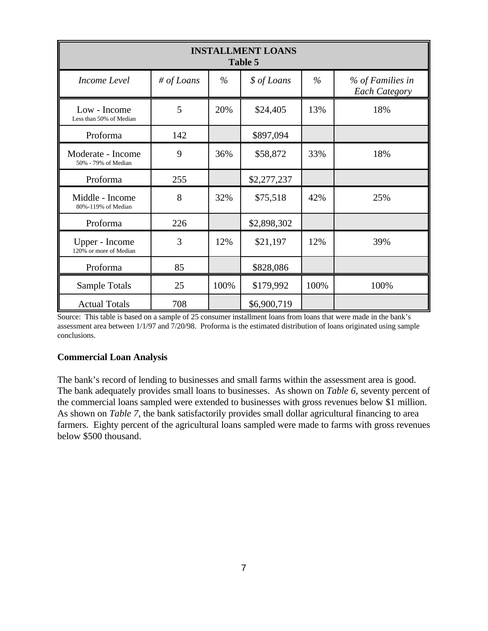| <b>INSTALLMENT LOANS</b><br>Table 5      |            |      |             |      |                                          |  |
|------------------------------------------|------------|------|-------------|------|------------------------------------------|--|
| Income Level                             | # of Loans | $\%$ | \$ of Loans | $\%$ | % of Families in<br><b>Each Category</b> |  |
| Low - Income<br>Less than 50% of Median  | 5          | 20%  | \$24,405    | 13%  | 18%                                      |  |
| Proforma                                 | 142        |      | \$897,094   |      |                                          |  |
| Moderate - Income<br>50% - 79% of Median | 9          | 36%  | \$58,872    | 33%  | 18%                                      |  |
| Proforma                                 | 255        |      | \$2,277,237 |      |                                          |  |
| Middle - Income<br>80%-119% of Median    | 8          | 32%  | \$75,518    | 42%  | 25%                                      |  |
| Proforma                                 | 226        |      | \$2,898,302 |      |                                          |  |
| Upper - Income<br>120% or more of Median | 3          | 12%  | \$21,197    | 12%  | 39%                                      |  |
| Proforma                                 | 85         |      | \$828,086   |      |                                          |  |
| Sample Totals                            | 25         | 100% | \$179,992   | 100% | 100%                                     |  |
| <b>Actual Totals</b>                     | 708        |      | \$6,900,719 |      |                                          |  |

Source: This table is based on a sample of 25 consumer installment loans from loans that were made in the bank's assessment area between 1/1/97 and 7/20/98. Proforma is the estimated distribution of loans originated using sample conclusions.

#### **Commercial Loan Analysis**

The bank's record of lending to businesses and small farms within the assessment area is good. The bank adequately provides small loans to businesses. As shown on *Table 6,* seventy percent of the commercial loans sampled were extended to businesses with gross revenues below \$1 million. As shown on *Table 7*, the bank satisfactorily provides small dollar agricultural financing to area farmers. Eighty percent of the agricultural loans sampled were made to farms with gross revenues below \$500 thousand.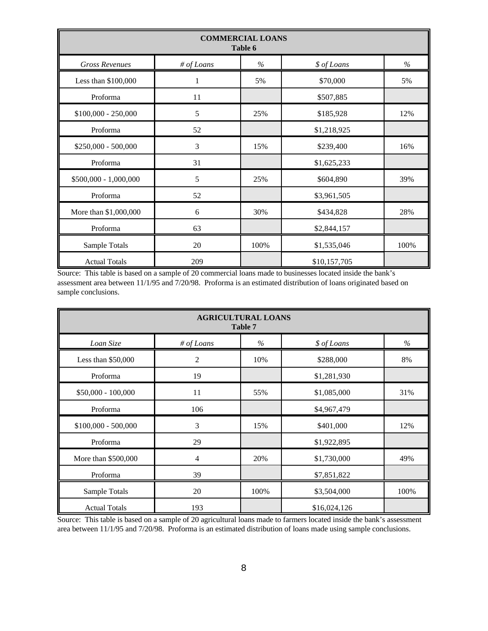| <b>COMMERCIAL LOANS</b><br>Table 6 |            |      |              |      |  |  |
|------------------------------------|------------|------|--------------|------|--|--|
| <b>Gross Revenues</b>              | # of Loans | $\%$ | \$ of Loans  | $\%$ |  |  |
| Less than \$100,000                | 1          | 5%   | \$70,000     | 5%   |  |  |
| Proforma                           | 11         |      | \$507,885    |      |  |  |
| $$100,000 - 250,000$               | 5          | 25%  | \$185,928    | 12%  |  |  |
| Proforma                           | 52         |      | \$1,218,925  |      |  |  |
| $$250,000 - 500,000$               | 3          | 15%  | \$239,400    | 16%  |  |  |
| Proforma                           | 31         |      | \$1,625,233  |      |  |  |
| \$500,000 - 1,000,000              | 5          | 25%  | \$604,890    | 39%  |  |  |
| Proforma                           | 52         |      | \$3,961,505  |      |  |  |
| More than \$1,000,000              | 6          | 30%  | \$434,828    | 28%  |  |  |
| Proforma                           | 63         |      | \$2,844,157  |      |  |  |
| Sample Totals                      | 20         | 100% | \$1,535,046  | 100% |  |  |
| <b>Actual Totals</b>               | 209        |      | \$10,157,705 |      |  |  |

Source: This table is based on a sample of 20 commercial loans made to businesses located inside the bank's assessment area between 11/1/95 and 7/20/98. Proforma is an estimated distribution of loans originated based on sample conclusions.

| <b>AGRICULTURAL LOANS</b><br>Table 7 |            |      |              |      |  |  |
|--------------------------------------|------------|------|--------------|------|--|--|
| Loan Size                            | # of Loans | $\%$ | \$ of Loans  | $\%$ |  |  |
| Less than \$50,000                   | 2          | 10%  | \$288,000    | 8%   |  |  |
| Proforma                             | 19         |      | \$1,281,930  |      |  |  |
| \$50,000 - 100,000                   | 11         | 55%  | \$1,085,000  | 31%  |  |  |
| Proforma                             | 106        |      | \$4,967,479  |      |  |  |
| $$100,000 - 500,000$                 | 3          | 15%  | \$401,000    | 12%  |  |  |
| Proforma                             | 29         |      | \$1,922,895  |      |  |  |
| More than \$500,000                  | 4          | 20%  | \$1,730,000  | 49%  |  |  |
| Proforma                             | 39         |      | \$7,851,822  |      |  |  |
| Sample Totals                        | 20         | 100% | \$3,504,000  | 100% |  |  |
| <b>Actual Totals</b>                 | 193        |      | \$16,024,126 |      |  |  |

Source: This table is based on a sample of 20 agricultural loans made to farmers located inside the bank's assessment area between 11/1/95 and 7/20/98. Proforma is an estimated distribution of loans made using sample conclusions.